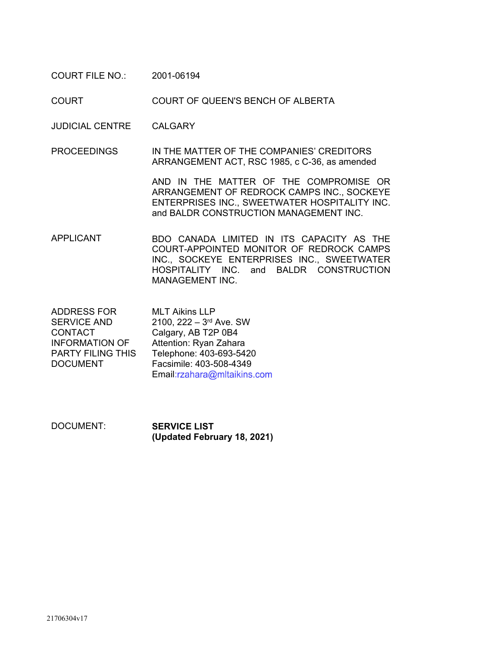COURT FILE NO.: 2001-06194

COURT COURT OF QUEEN'S BENCH OF ALBERTA

JUDICIAL CENTRE CALGARY

PROCEEDINGS IN THE MATTER OF THE COMPANIES' CREDITORS ARRANGEMENT ACT, RSC 1985, c C-36, as amended

> AND IN THE MATTER OF THE COMPROMISE OR ARRANGEMENT OF REDROCK CAMPS INC., SOCKEYE ENTERPRISES INC., SWEETWATER HOSPITALITY INC. and BALDR CONSTRUCTION MANAGEMENT INC.

APPLICANT BDO CANADA LIMITED IN ITS CAPACITY AS THE COURT-APPOINTED MONITOR OF REDROCK CAMPS INC., SOCKEYE ENTERPRISES INC., SWEETWATER HOSPITALITY INC. and BALDR CONSTRUCTION MANAGEMENT INC.

ADDRESS FOR SERVICE AND CONTACT INFORMATION OF PARTY FILING THIS DOCUMENT MLT Aikins LLP 2100, 222 – 3rd Ave. SW Calgary, AB T2P 0B4 Attention: Ryan Zahara Telephone: 403-693-5420 Facsimile: 403-508-4349 Email:rzahara@mltaikins.com

DOCUMENT: **SERVICE LIST (Updated February 18, 2021)**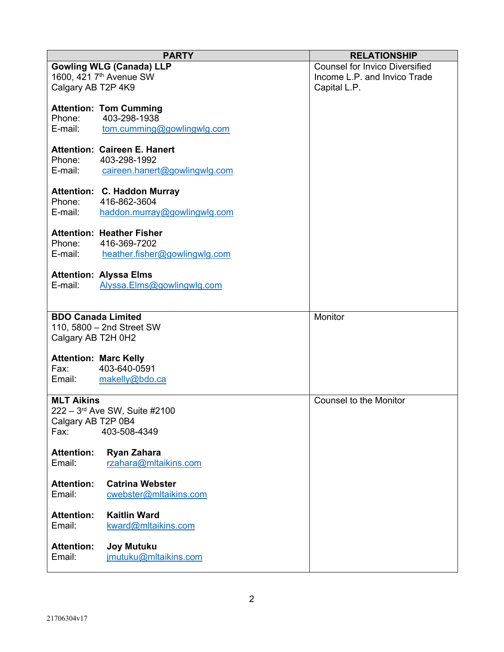|                              | <b>PARTY</b>                                  | <b>RELATIONSHIP</b>                   |
|------------------------------|-----------------------------------------------|---------------------------------------|
|                              | <b>Gowling WLG (Canada) LLP</b>               | <b>Counsel for Invico Diversified</b> |
|                              | 1600, 421 7 <sup>th</sup> Avenue SW           | Income L.P. and Invico Trade          |
| Calgary AB T2P 4K9           |                                               | Capital L.P.                          |
|                              |                                               |                                       |
| Phone:                       | <b>Attention: Tom Cumming</b><br>403-298-1938 |                                       |
| E-mail:                      | tom.cumming@gowlingwlg.com                    |                                       |
|                              |                                               |                                       |
|                              | <b>Attention: Caireen E. Hanert</b>           |                                       |
| Phone:                       | 403-298-1992                                  |                                       |
| E-mail:                      | caireen.hanert@gowlingwlg.com                 |                                       |
|                              |                                               |                                       |
|                              | Attention: C. Haddon Murray                   |                                       |
| Phone:<br>E-mail:            | 416-862-3604                                  |                                       |
|                              | haddon.murray@gowlingwlg.com                  |                                       |
|                              | <b>Attention: Heather Fisher</b>              |                                       |
| Phone:                       | 416-369-7202                                  |                                       |
| E-mail:                      | heather.fisher@gowlingwlg.com                 |                                       |
|                              |                                               |                                       |
|                              | <b>Attention: Alyssa Elms</b>                 |                                       |
| E-mail:                      | Alyssa.Elms@gowlingwlg.com                    |                                       |
|                              |                                               |                                       |
| <b>BDO Canada Limited</b>    |                                               | Monitor                               |
|                              | 110, 5800 - 2nd Street SW                     |                                       |
| Calgary AB T2H 0H2           |                                               |                                       |
|                              |                                               |                                       |
| <b>Attention: Marc Kelly</b> |                                               |                                       |
| Fax: Fax                     | 403-640-0591                                  |                                       |
|                              | Email: makelly@bdo.ca                         |                                       |
| <b>MLT Aikins</b>            |                                               | <b>Counsel to the Monitor</b>         |
|                              | 222 - 3rd Ave SW, Suite #2100                 |                                       |
| Calgary AB T2P 0B4           |                                               |                                       |
| Fax:                         | 403-508-4349                                  |                                       |
|                              |                                               |                                       |
| <b>Attention:</b>            | Ryan Zahara                                   |                                       |
| Email:                       | rzahara@mltaikins.com                         |                                       |
| <b>Attention:</b>            | <b>Catrina Webster</b>                        |                                       |
| Email:                       | cwebster@mltaikins.com                        |                                       |
|                              |                                               |                                       |
| <b>Attention:</b>            | <b>Kaitlin Ward</b>                           |                                       |
| Email:                       | kward@mltaikins.com                           |                                       |
|                              |                                               |                                       |
| <b>Attention:</b>            | <b>Joy Mutuku</b>                             |                                       |
| Email:                       | jmutuku@mltaikins.com                         |                                       |
|                              |                                               |                                       |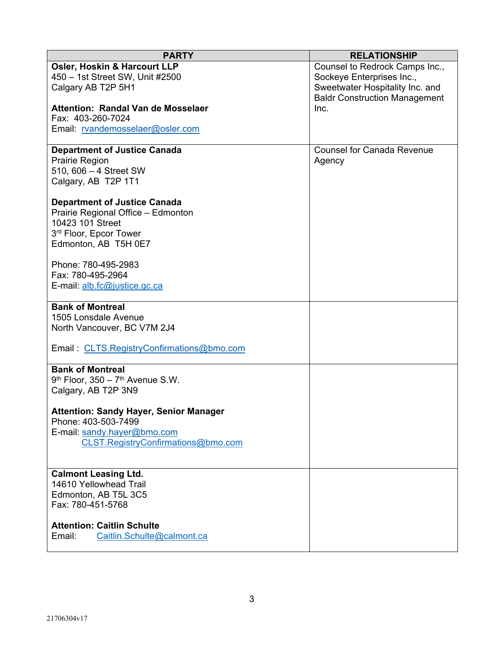| <b>PARTY</b>                                                | <b>RELATIONSHIP</b>                  |
|-------------------------------------------------------------|--------------------------------------|
| <b>Osler, Hoskin &amp; Harcourt LLP</b>                     | Counsel to Redrock Camps Inc.,       |
| 450 - 1st Street SW, Unit #2500                             | Sockeye Enterprises Inc.,            |
| Calgary AB T2P 5H1                                          | Sweetwater Hospitality Inc. and      |
|                                                             | <b>Baldr Construction Management</b> |
| <b>Attention: Randal Van de Mosselaer</b>                   | Inc.                                 |
| Fax: 403-260-7024                                           |                                      |
| Email: rvandemosselaer@osler.com                            |                                      |
|                                                             |                                      |
| <b>Department of Justice Canada</b>                         | <b>Counsel for Canada Revenue</b>    |
| Prairie Region                                              | Agency                               |
| 510, 606 - 4 Street SW                                      |                                      |
| Calgary, AB T2P 1T1                                         |                                      |
| <b>Department of Justice Canada</b>                         |                                      |
| Prairie Regional Office - Edmonton                          |                                      |
| 10423 101 Street                                            |                                      |
| 3rd Floor, Epcor Tower                                      |                                      |
| Edmonton, AB T5H 0E7                                        |                                      |
|                                                             |                                      |
| Phone: 780-495-2983                                         |                                      |
| Fax: 780-495-2964                                           |                                      |
| E-mail: alb.fc@justice.gc.ca                                |                                      |
|                                                             |                                      |
| <b>Bank of Montreal</b>                                     |                                      |
| 1505 Lonsdale Avenue                                        |                                      |
| North Vancouver, BC V7M 2J4                                 |                                      |
|                                                             |                                      |
| Email: CLTS.RegistryConfirmations@bmo.com                   |                                      |
|                                                             |                                      |
| <b>Bank of Montreal</b>                                     |                                      |
| $9th$ Floor, 350 - $7th$ Avenue S.W.<br>Calgary, AB T2P 3N9 |                                      |
|                                                             |                                      |
| <b>Attention: Sandy Hayer, Senior Manager</b>               |                                      |
| Phone: 403-503-7499                                         |                                      |
| E-mail: sandy.hayer@bmo.com                                 |                                      |
| CLST.RegistryConfirmations@bmo.com                          |                                      |
|                                                             |                                      |
|                                                             |                                      |
| <b>Calmont Leasing Ltd.</b>                                 |                                      |
| 14610 Yellowhead Trail                                      |                                      |
| Edmonton, AB T5L 3C5                                        |                                      |
| Fax: 780-451-5768                                           |                                      |
|                                                             |                                      |
| <b>Attention: Caitlin Schulte</b>                           |                                      |
| Caitlin.Schulte@calmont.ca<br>Email:                        |                                      |
|                                                             |                                      |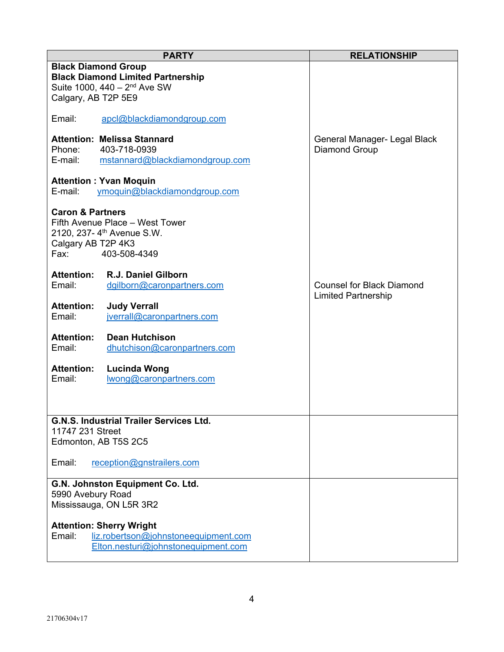| <b>PARTY</b>                                                                                                                                               | <b>RELATIONSHIP</b>                                            |
|------------------------------------------------------------------------------------------------------------------------------------------------------------|----------------------------------------------------------------|
| <b>Black Diamond Group</b><br><b>Black Diamond Limited Partnership</b><br>Suite 1000, 440 - 2 <sup>nd</sup> Ave SW<br>Calgary, AB T2P 5E9                  |                                                                |
| Email:<br>apcl@blackdiamondgroup.com                                                                                                                       |                                                                |
| <b>Attention: Melissa Stannard</b><br>403-718-0939<br>Phone:<br>E-mail:<br>mstannard@blackdiamondgroup.com                                                 | General Manager- Legal Black<br>Diamond Group                  |
| <b>Attention: Yvan Moquin</b><br>E-mail:<br>ymoguin@blackdiamondgroup.com                                                                                  |                                                                |
| <b>Caron &amp; Partners</b><br>Fifth Avenue Place - West Tower<br>2120, 237- 4 <sup>th</sup> Avenue S.W.<br>Calgary AB T2P 4K3<br>Fax: Fax<br>403-508-4349 |                                                                |
| <b>Attention:</b><br>R.J. Daniel Gilborn<br>Email:<br>dgilborn@caronpartners.com                                                                           | <b>Counsel for Black Diamond</b><br><b>Limited Partnership</b> |
| <b>Attention:</b><br><b>Judy Verrall</b><br>Email:<br>jverrall@caronpartners.com                                                                           |                                                                |
| <b>Attention:</b><br><b>Dean Hutchison</b><br>Email:<br>dhutchison@caronpartners.com                                                                       |                                                                |
| <b>Attention:</b><br><b>Lucinda Wong</b><br>Email:<br>wong@caronpartners.com                                                                               |                                                                |
| <b>G.N.S. Industrial Trailer Services Ltd.</b><br>11747 231 Street                                                                                         |                                                                |
| Edmonton, AB T5S 2C5                                                                                                                                       |                                                                |
| Email:<br>reception@gnstrailers.com                                                                                                                        |                                                                |
| G.N. Johnston Equipment Co. Ltd.<br>5990 Avebury Road<br>Mississauga, ON L5R 3R2                                                                           |                                                                |
| <b>Attention: Sherry Wright</b><br>liz.robertson@johnstoneequipment.com<br>Email:<br>Elton.nesturi@johnstonequipment.com                                   |                                                                |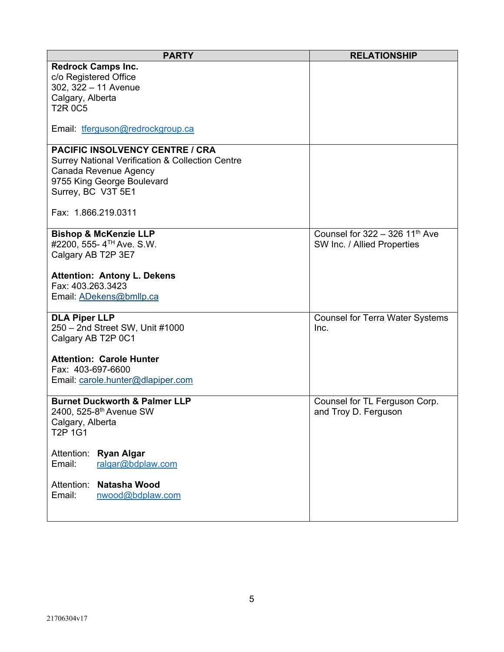| <b>PARTY</b>                                                | <b>RELATIONSHIP</b>                          |
|-------------------------------------------------------------|----------------------------------------------|
| <b>Redrock Camps Inc.</b>                                   |                                              |
| c/o Registered Office                                       |                                              |
| 302, 322 - 11 Avenue                                        |                                              |
| Calgary, Alberta                                            |                                              |
| <b>T2R 0C5</b>                                              |                                              |
|                                                             |                                              |
| Email: tferguson@redrockgroup.ca                            |                                              |
| <b>PACIFIC INSOLVENCY CENTRE / CRA</b>                      |                                              |
| <b>Surrey National Verification &amp; Collection Centre</b> |                                              |
| Canada Revenue Agency                                       |                                              |
| 9755 King George Boulevard                                  |                                              |
| Surrey, BC V3T 5E1                                          |                                              |
|                                                             |                                              |
| Fax: 1.866.219.0311                                         |                                              |
| <b>Bishop &amp; McKenzie LLP</b>                            | Counsel for $322 - 326$ 11 <sup>th</sup> Ave |
| #2200, 555- 4TH Ave. S.W.                                   | SW Inc. / Allied Properties                  |
| Calgary AB T2P 3E7                                          |                                              |
|                                                             |                                              |
| <b>Attention: Antony L. Dekens</b>                          |                                              |
| Fax: 403.263.3423                                           |                                              |
| Email: ADekens@bmllp.ca                                     |                                              |
|                                                             |                                              |
| <b>DLA Piper LLP</b>                                        | <b>Counsel for Terra Water Systems</b>       |
| 250 - 2nd Street SW, Unit #1000                             | Inc.                                         |
| Calgary AB T2P 0C1                                          |                                              |
| <b>Attention: Carole Hunter</b>                             |                                              |
| Fax: 403-697-6600                                           |                                              |
| Email: carole.hunter@dlapiper.com                           |                                              |
|                                                             |                                              |
| <b>Burnet Duckworth &amp; Palmer LLP</b>                    | Counsel for TL Ferguson Corp.                |
| 2400, 525-8th Avenue SW                                     | and Troy D. Ferguson                         |
| Calgary, Alberta                                            |                                              |
| T <sub>2</sub> P 1G1                                        |                                              |
| Attention:                                                  |                                              |
| <b>Ryan Algar</b><br>Email:<br>ralgar@bdplaw.com            |                                              |
|                                                             |                                              |
| Natasha Wood<br>Attention:                                  |                                              |
| Email:<br>nwood@bdplaw.com                                  |                                              |
|                                                             |                                              |
|                                                             |                                              |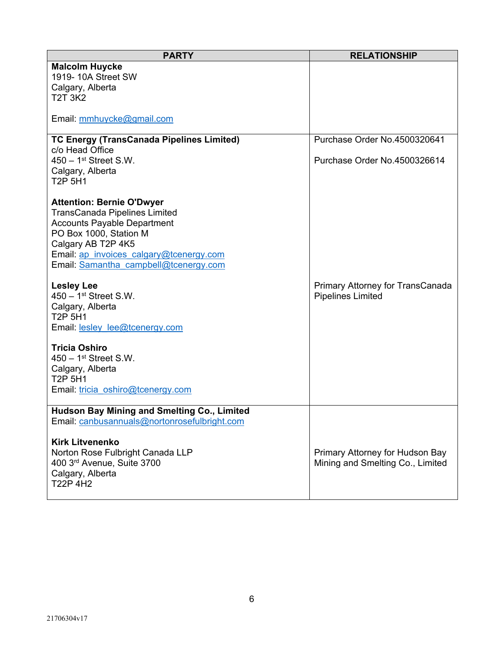| <b>PARTY</b>                                                  | <b>RELATIONSHIP</b>              |
|---------------------------------------------------------------|----------------------------------|
| <b>Malcolm Huycke</b><br>1919-10A Street SW                   |                                  |
| Calgary, Alberta                                              |                                  |
| <b>T2T 3K2</b>                                                |                                  |
|                                                               |                                  |
| Email: mmhuycke@gmail.com                                     |                                  |
| <b>TC Energy (TransCanada Pipelines Limited)</b>              | Purchase Order No.4500320641     |
| c/o Head Office                                               |                                  |
| $450 - 1$ <sup>st</sup> Street S.W.                           | Purchase Order No.4500326614     |
| Calgary, Alberta                                              |                                  |
| T <sub>2</sub> P <sub>5H1</sub>                               |                                  |
| <b>Attention: Bernie O'Dwyer</b>                              |                                  |
| <b>TransCanada Pipelines Limited</b>                          |                                  |
| <b>Accounts Payable Department</b>                            |                                  |
| PO Box 1000, Station M                                        |                                  |
| Calgary AB T2P 4K5<br>Email: ap invoices calgary@tcenergy.com |                                  |
| Email: Samantha campbell@tcenergy.com                         |                                  |
|                                                               |                                  |
| <b>Lesley Lee</b>                                             | Primary Attorney for TransCanada |
| $450 - 1$ <sup>st</sup> Street S.W.                           | <b>Pipelines Limited</b>         |
| Calgary, Alberta<br><b>T2P 5H1</b>                            |                                  |
| Email: lesley lee@tcenergy.com                                |                                  |
|                                                               |                                  |
| <b>Tricia Oshiro</b>                                          |                                  |
| $450 - 1$ <sup>st</sup> Street S.W.<br>Calgary, Alberta       |                                  |
| T <sub>2</sub> P <sub>5H1</sub>                               |                                  |
| Email: tricia oshiro@tcenergy.com                             |                                  |
|                                                               |                                  |
| <b>Hudson Bay Mining and Smelting Co., Limited</b>            |                                  |
| Email: <u>canbusannuals@nortonrosefulbright.com</u>           |                                  |
| <b>Kirk Litvenenko</b>                                        |                                  |
| Norton Rose Fulbright Canada LLP                              | Primary Attorney for Hudson Bay  |
| 400 3rd Avenue, Suite 3700                                    | Mining and Smelting Co., Limited |
| Calgary, Alberta<br>T22P 4H2                                  |                                  |
|                                                               |                                  |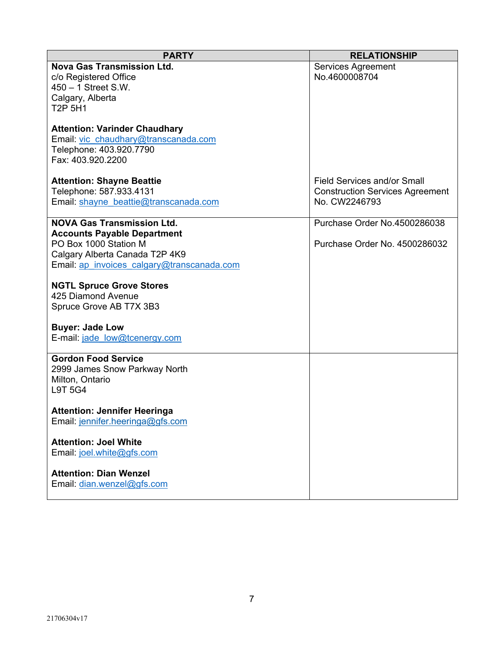| <b>PARTY</b>                                                                                                                 | <b>RELATIONSHIP</b>                    |
|------------------------------------------------------------------------------------------------------------------------------|----------------------------------------|
| <b>Nova Gas Transmission Ltd.</b>                                                                                            | <b>Services Agreement</b>              |
| c/o Registered Office                                                                                                        | No.4600008704                          |
| $450 - 1$ Street S.W.                                                                                                        |                                        |
| Calgary, Alberta                                                                                                             |                                        |
| <b>T2P 5H1</b>                                                                                                               |                                        |
| <b>Attention: Varinder Chaudhary</b><br>Email: vic chaudhary@transcanada.com<br>Telephone: 403.920.7790<br>Fax: 403.920.2200 |                                        |
| <b>Attention: Shayne Beattie</b>                                                                                             | Field Services and/or Small            |
| Telephone: 587.933.4131                                                                                                      | <b>Construction Services Agreement</b> |
| Email: shayne beattie@transcanada.com                                                                                        | No. CW2246793                          |
|                                                                                                                              |                                        |
| <b>NOVA Gas Transmission Ltd.</b>                                                                                            | Purchase Order No.4500286038           |
| <b>Accounts Payable Department</b>                                                                                           |                                        |
| PO Box 1000 Station M                                                                                                        | Purchase Order No. 4500286032          |
| Calgary Alberta Canada T2P 4K9<br>Email: ap invoices calgary@transcanada.com                                                 |                                        |
|                                                                                                                              |                                        |
| <b>NGTL Spruce Grove Stores</b>                                                                                              |                                        |
| 425 Diamond Avenue                                                                                                           |                                        |
| Spruce Grove AB T7X 3B3                                                                                                      |                                        |
|                                                                                                                              |                                        |
| <b>Buyer: Jade Low</b>                                                                                                       |                                        |
| E-mail: jade low@tcenergy.com                                                                                                |                                        |
| <b>Gordon Food Service</b>                                                                                                   |                                        |
| 2999 James Snow Parkway North                                                                                                |                                        |
| Milton, Ontario                                                                                                              |                                        |
| <b>L9T 5G4</b>                                                                                                               |                                        |
|                                                                                                                              |                                        |
| <b>Attention: Jennifer Heeringa</b>                                                                                          |                                        |
| Email: jennifer.heeringa@gfs.com                                                                                             |                                        |
|                                                                                                                              |                                        |
| <b>Attention: Joel White</b>                                                                                                 |                                        |
| Email: joel.white@gfs.com                                                                                                    |                                        |
| <b>Attention: Dian Wenzel</b>                                                                                                |                                        |
| Email: dian.wenzel@gfs.com                                                                                                   |                                        |
|                                                                                                                              |                                        |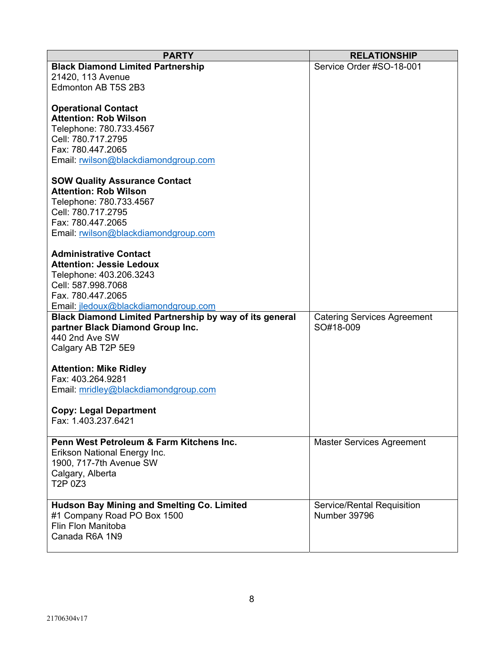| <b>PARTY</b>                                                                                                                                                                                                                                                                                                                                                                                    | <b>RELATIONSHIP</b>                             |
|-------------------------------------------------------------------------------------------------------------------------------------------------------------------------------------------------------------------------------------------------------------------------------------------------------------------------------------------------------------------------------------------------|-------------------------------------------------|
| <b>Black Diamond Limited Partnership</b><br>21420, 113 Avenue<br>Edmonton AB T5S 2B3                                                                                                                                                                                                                                                                                                            | Service Order #SO-18-001                        |
| <b>Operational Contact</b><br><b>Attention: Rob Wilson</b><br>Telephone: 780.733.4567<br>Cell: 780.717.2795<br>Fax: 780.447.2065<br>Email: rwilson@blackdiamondgroup.com<br><b>SOW Quality Assurance Contact</b><br><b>Attention: Rob Wilson</b><br>Telephone: 780.733.4567<br>Cell: 780.717.2795<br>Fax: 780.447.2065<br>Email: rwilson@blackdiamondgroup.com<br><b>Administrative Contact</b> |                                                 |
| <b>Attention: Jessie Ledoux</b><br>Telephone: 403.206.3243<br>Cell: 587.998.7068<br>Fax. 780.447.2065<br>Email: jledoux@blackdiamondgroup.com                                                                                                                                                                                                                                                   |                                                 |
| <b>Black Diamond Limited Partnership by way of its general</b><br>partner Black Diamond Group Inc.<br>440 2nd Ave SW<br>Calgary AB T2P 5E9                                                                                                                                                                                                                                                      | <b>Catering Services Agreement</b><br>SO#18-009 |
| <b>Attention: Mike Ridley</b><br>Fax: 403.264.9281<br>Email: mridley@blackdiamondgroup.com                                                                                                                                                                                                                                                                                                      |                                                 |
| <b>Copy: Legal Department</b><br>Fax: 1.403.237.6421                                                                                                                                                                                                                                                                                                                                            |                                                 |
| Penn West Petroleum & Farm Kitchens Inc.<br>Erikson National Energy Inc.<br>1900, 717-7th Avenue SW<br>Calgary, Alberta<br>T2P 0Z3                                                                                                                                                                                                                                                              | <b>Master Services Agreement</b>                |
| <b>Hudson Bay Mining and Smelting Co. Limited</b><br>#1 Company Road PO Box 1500<br>Flin Flon Manitoba<br>Canada R6A 1N9                                                                                                                                                                                                                                                                        | Service/Rental Requisition<br>Number 39796      |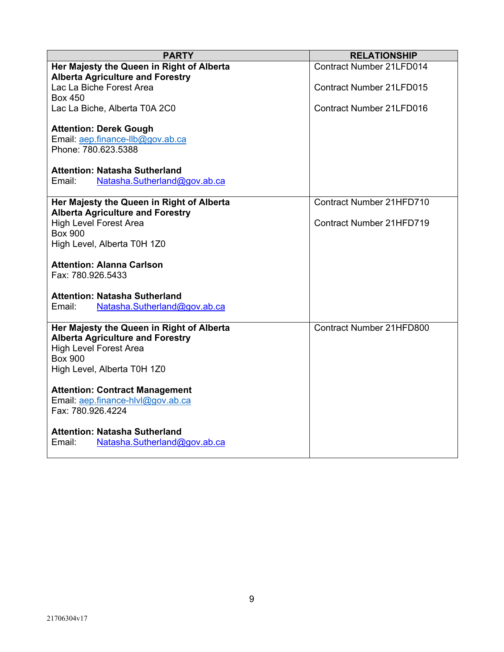| <b>PARTY</b>                                                      | <b>RELATIONSHIP</b>             |
|-------------------------------------------------------------------|---------------------------------|
| Her Majesty the Queen in Right of Alberta                         | <b>Contract Number 21LFD014</b> |
| <b>Alberta Agriculture and Forestry</b>                           |                                 |
| Lac La Biche Forest Area                                          | <b>Contract Number 21LFD015</b> |
| <b>Box 450</b>                                                    |                                 |
| Lac La Biche, Alberta T0A 2C0                                     | <b>Contract Number 21LFD016</b> |
|                                                                   |                                 |
| <b>Attention: Derek Gough</b><br>Email: aep.finance-llb@gov.ab.ca |                                 |
| Phone: 780.623.5388                                               |                                 |
|                                                                   |                                 |
| <b>Attention: Natasha Sutherland</b>                              |                                 |
| Email:<br>Natasha.Sutherland@gov.ab.ca                            |                                 |
|                                                                   |                                 |
| Her Majesty the Queen in Right of Alberta                         | Contract Number 21HFD710        |
| <b>Alberta Agriculture and Forestry</b>                           |                                 |
| <b>High Level Forest Area</b>                                     | Contract Number 21HFD719        |
| <b>Box 900</b>                                                    |                                 |
| High Level, Alberta T0H 1Z0                                       |                                 |
| <b>Attention: Alanna Carlson</b>                                  |                                 |
| Fax: 780.926.5433                                                 |                                 |
|                                                                   |                                 |
| <b>Attention: Natasha Sutherland</b>                              |                                 |
| Natasha.Sutherland@gov.ab.ca<br>Email:                            |                                 |
|                                                                   |                                 |
| Her Majesty the Queen in Right of Alberta                         | Contract Number 21HFD800        |
| <b>Alberta Agriculture and Forestry</b>                           |                                 |
| <b>High Level Forest Area</b>                                     |                                 |
| <b>Box 900</b>                                                    |                                 |
| High Level, Alberta T0H 1Z0                                       |                                 |
| <b>Attention: Contract Management</b>                             |                                 |
| Email: aep.finance-hlvl@gov.ab.ca                                 |                                 |
| Fax: 780.926.4224                                                 |                                 |
|                                                                   |                                 |
| <b>Attention: Natasha Sutherland</b>                              |                                 |
| Natasha.Sutherland@gov.ab.ca<br>Email:                            |                                 |
|                                                                   |                                 |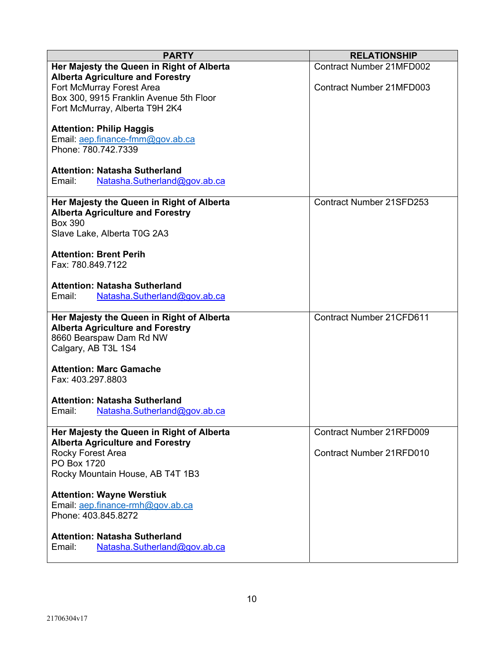| <b>PARTY</b>                              | <b>RELATIONSHIP</b>             |
|-------------------------------------------|---------------------------------|
| Her Majesty the Queen in Right of Alberta | <b>Contract Number 21MFD002</b> |
| <b>Alberta Agriculture and Forestry</b>   |                                 |
| Fort McMurray Forest Area                 | <b>Contract Number 21MFD003</b> |
| Box 300, 9915 Franklin Avenue 5th Floor   |                                 |
| Fort McMurray, Alberta T9H 2K4            |                                 |
|                                           |                                 |
| <b>Attention: Philip Haggis</b>           |                                 |
| Email: aep.finance-fmm@gov.ab.ca          |                                 |
| Phone: 780.742.7339                       |                                 |
|                                           |                                 |
| <b>Attention: Natasha Sutherland</b>      |                                 |
| Natasha.Sutherland@gov.ab.ca<br>Email:    |                                 |
|                                           |                                 |
| Her Majesty the Queen in Right of Alberta | <b>Contract Number 21SFD253</b> |
| <b>Alberta Agriculture and Forestry</b>   |                                 |
| <b>Box 390</b>                            |                                 |
| Slave Lake, Alberta T0G 2A3               |                                 |
|                                           |                                 |
| <b>Attention: Brent Perih</b>             |                                 |
| Fax: 780.849.7122                         |                                 |
|                                           |                                 |
| <b>Attention: Natasha Sutherland</b>      |                                 |
| Email:<br>Natasha.Sutherland@gov.ab.ca    |                                 |
| Her Majesty the Queen in Right of Alberta | <b>Contract Number 21CFD611</b> |
| <b>Alberta Agriculture and Forestry</b>   |                                 |
| 8660 Bearspaw Dam Rd NW                   |                                 |
| Calgary, AB T3L 1S4                       |                                 |
|                                           |                                 |
| <b>Attention: Marc Gamache</b>            |                                 |
| Fax: 403.297.8803                         |                                 |
|                                           |                                 |
| <b>Attention: Natasha Sutherland</b>      |                                 |
| Email:<br>Natasha.Sutherland@gov.ab.ca    |                                 |
|                                           |                                 |
| Her Majesty the Queen in Right of Alberta | <b>Contract Number 21RFD009</b> |
| <b>Alberta Agriculture and Forestry</b>   |                                 |
| Rocky Forest Area                         | <b>Contract Number 21RFD010</b> |
| PO Box 1720                               |                                 |
| Rocky Mountain House, AB T4T 1B3          |                                 |
|                                           |                                 |
| <b>Attention: Wayne Werstiuk</b>          |                                 |
| Email: aep.finance-rmh@gov.ab.ca          |                                 |
| Phone: 403.845.8272                       |                                 |
|                                           |                                 |
| <b>Attention: Natasha Sutherland</b>      |                                 |
| Natasha.Sutherland@gov.ab.ca<br>Email:    |                                 |
|                                           |                                 |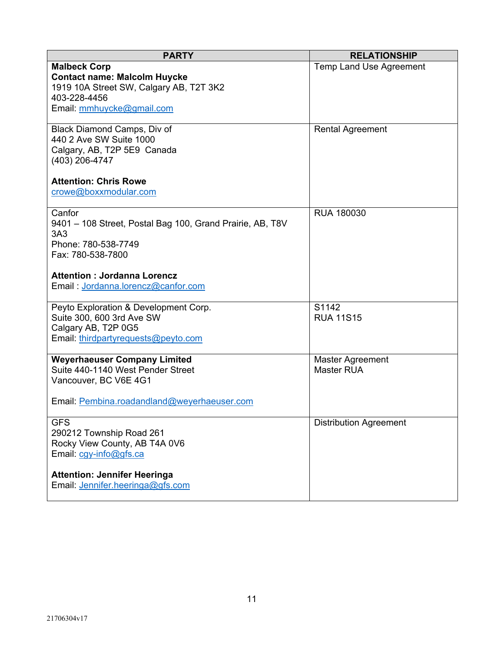| <b>PARTY</b>                                                                                                                                                                                                   | <b>RELATIONSHIP</b>                          |
|----------------------------------------------------------------------------------------------------------------------------------------------------------------------------------------------------------------|----------------------------------------------|
| <b>Malbeck Corp</b><br><b>Contact name: Malcolm Huycke</b><br>1919 10A Street SW, Calgary AB, T2T 3K2<br>403-228-4456<br>Email: mmhuycke@gmail.com                                                             | <b>Temp Land Use Agreement</b>               |
| Black Diamond Camps, Div of<br>440 2 Ave SW Suite 1000<br>Calgary, AB, T2P 5E9 Canada<br>(403) 206-4747<br><b>Attention: Chris Rowe</b><br>crowe@boxxmodular.com                                               | <b>Rental Agreement</b>                      |
| Canfor<br>9401 - 108 Street, Postal Bag 100, Grand Prairie, AB, T8V<br>3A <sub>3</sub><br>Phone: 780-538-7749<br>Fax: 780-538-7800<br><b>Attention: Jordanna Lorencz</b><br>Email: Jordanna.lorencz@canfor.com | RUA 180030                                   |
| Peyto Exploration & Development Corp.<br>Suite 300, 600 3rd Ave SW<br>Calgary AB, T2P 0G5<br>Email: thirdpartyrequests@peyto.com                                                                               | S1142<br><b>RUA 11S15</b>                    |
| <b>Weyerhaeuser Company Limited</b><br>Suite 440-1140 West Pender Street<br>Vancouver, BC V6E 4G1<br>Email: Pembina.roadandland@weyerhaeuser.com                                                               | <b>Master Agreement</b><br><b>Master RUA</b> |
| <b>GFS</b><br>290212 Township Road 261<br>Rocky View County, AB T4A 0V6<br>Email: cgy-info@gfs.ca                                                                                                              | <b>Distribution Agreement</b>                |
| <b>Attention: Jennifer Heeringa</b><br>Email: Jennifer.heeringa@gfs.com                                                                                                                                        |                                              |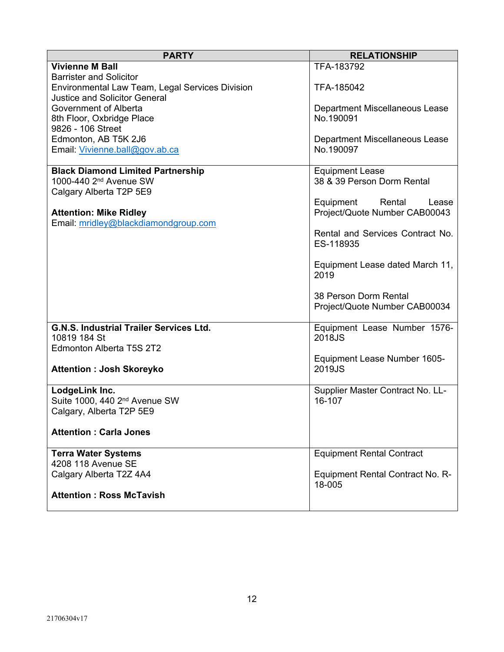| <b>PARTY</b>                                                  | <b>RELATIONSHIP</b>                         |
|---------------------------------------------------------------|---------------------------------------------|
| <b>Vivienne M Ball</b>                                        | TFA-183792                                  |
| <b>Barrister and Solicitor</b>                                |                                             |
| Environmental Law Team, Legal Services Division               | TFA-185042                                  |
| <b>Justice and Solicitor General</b><br>Government of Alberta |                                             |
| 8th Floor, Oxbridge Place                                     | Department Miscellaneous Lease<br>No.190091 |
| 9826 - 106 Street                                             |                                             |
| Edmonton, AB T5K 2J6                                          | Department Miscellaneous Lease              |
| Email: Vivienne.ball@gov.ab.ca                                | No.190097                                   |
|                                                               |                                             |
| <b>Black Diamond Limited Partnership</b>                      | <b>Equipment Lease</b>                      |
| 1000-440 2 <sup>nd</sup> Avenue SW                            | 38 & 39 Person Dorm Rental                  |
| Calgary Alberta T2P 5E9                                       |                                             |
|                                                               | Equipment Rental<br>Lease                   |
| <b>Attention: Mike Ridley</b>                                 | Project/Quote Number CAB00043               |
| Email: mridley@blackdiamondgroup.com                          | Rental and Services Contract No.            |
|                                                               | ES-118935                                   |
|                                                               |                                             |
|                                                               | Equipment Lease dated March 11,             |
|                                                               | 2019                                        |
|                                                               |                                             |
|                                                               | 38 Person Dorm Rental                       |
|                                                               | Project/Quote Number CAB00034               |
| G.N.S. Industrial Trailer Services Ltd.                       | Equipment Lease Number 1576-                |
| 10819 184 St                                                  | 2018JS                                      |
| Edmonton Alberta T5S 2T2                                      |                                             |
|                                                               | Equipment Lease Number 1605-                |
| <b>Attention : Josh Skoreyko</b>                              | 2019JS                                      |
|                                                               |                                             |
| LodgeLink Inc.                                                | Supplier Master Contract No. LL-            |
| Suite 1000, 440 2 <sup>nd</sup> Avenue SW                     | 16-107                                      |
| Calgary, Alberta T2P 5E9                                      |                                             |
| <b>Attention: Carla Jones</b>                                 |                                             |
|                                                               |                                             |
| <b>Terra Water Systems</b>                                    | <b>Equipment Rental Contract</b>            |
| 4208 118 Avenue SE                                            |                                             |
| Calgary Alberta T2Z 4A4                                       | Equipment Rental Contract No. R-            |
|                                                               | 18-005                                      |
| <b>Attention: Ross McTavish</b>                               |                                             |
|                                                               |                                             |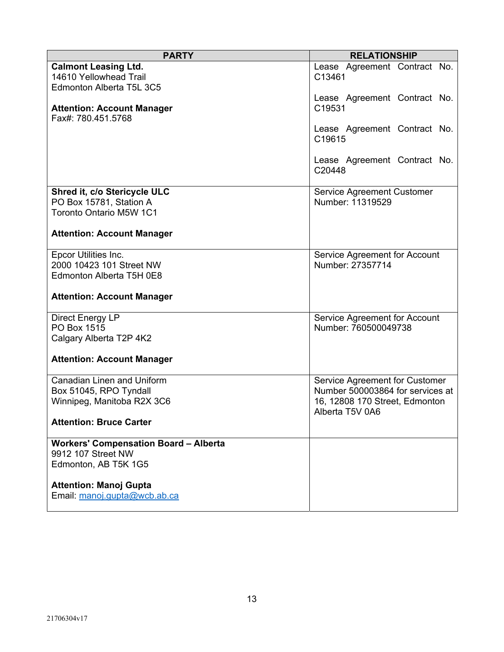| <b>PARTY</b>                                                                      | <b>RELATIONSHIP</b>                               |
|-----------------------------------------------------------------------------------|---------------------------------------------------|
| <b>Calmont Leasing Ltd.</b><br>14610 Yellowhead Trail<br>Edmonton Alberta T5L 3C5 | Lease Agreement Contract No.<br>C13461            |
| <b>Attention: Account Manager</b><br>Fax#: 780.451.5768                           | Lease Agreement Contract No.<br>C19531            |
|                                                                                   | Lease Agreement Contract No.<br>C19615            |
|                                                                                   | Lease Agreement Contract No.<br>C20448            |
| Shred it, c/o Stericycle ULC                                                      | Service Agreement Customer                        |
| PO Box 15781, Station A                                                           | Number: 11319529                                  |
| <b>Toronto Ontario M5W 1C1</b>                                                    |                                                   |
| <b>Attention: Account Manager</b>                                                 |                                                   |
| Epcor Utilities Inc.                                                              | Service Agreement for Account                     |
| 2000 10423 101 Street NW                                                          | Number: 27357714                                  |
| Edmonton Alberta T5H 0E8                                                          |                                                   |
| <b>Attention: Account Manager</b>                                                 |                                                   |
| Direct Energy LP                                                                  | Service Agreement for Account                     |
| PO Box 1515                                                                       | Number: 760500049738                              |
| Calgary Alberta T2P 4K2                                                           |                                                   |
| <b>Attention: Account Manager</b>                                                 |                                                   |
| <b>Canadian Linen and Uniform</b>                                                 | Service Agreement for Customer                    |
| Box 51045, RPO Tyndall                                                            | Number 500003864 for services at                  |
| Winnipeg, Manitoba R2X 3C6                                                        | 16, 12808 170 Street, Edmonton<br>Alberta T5V 0A6 |
| <b>Attention: Bruce Carter</b>                                                    |                                                   |
| <b>Workers' Compensation Board - Alberta</b>                                      |                                                   |
| 9912 107 Street NW                                                                |                                                   |
| Edmonton, AB T5K 1G5                                                              |                                                   |
| <b>Attention: Manoj Gupta</b><br>Email: manoj.gupta@wcb.ab.ca                     |                                                   |